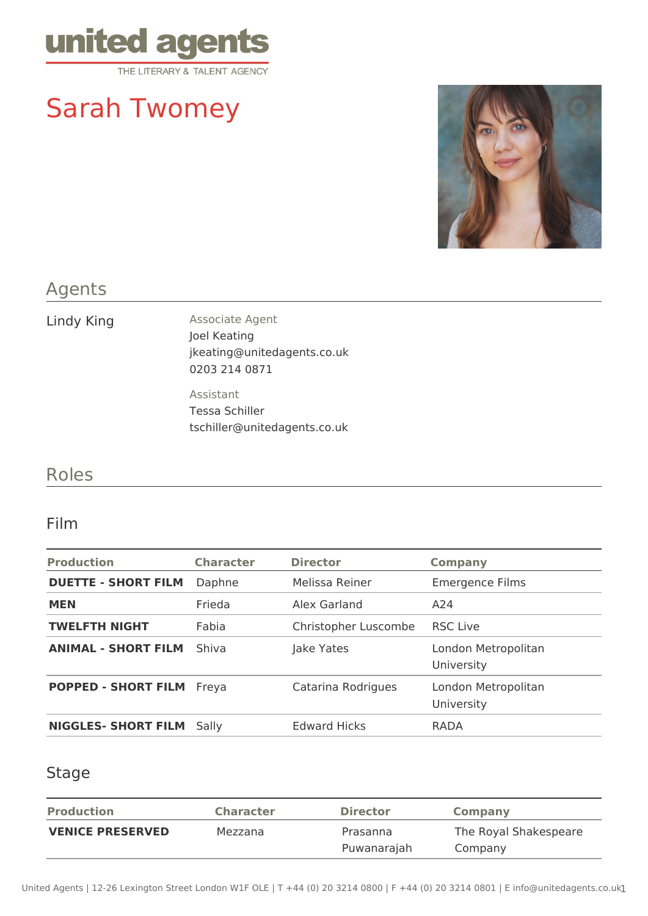

# Sarah Twomey



## Agents

Lindy King **Associate Agent** Joel Keating jkeating@unitedagents.co.uk 0203 214 0871

> Assistant Tessa Schiller tschiller@unitedagents.co.uk

# Roles

#### Film

| <b>Production</b>                | <b>Character</b> | <b>Director</b>      | <b>Company</b>                    |
|----------------------------------|------------------|----------------------|-----------------------------------|
| <b>DUETTE - SHORT FILM</b>       | Daphne           | Melissa Reiner       | <b>Emergence Films</b>            |
| <b>MEN</b>                       | Frieda           | Alex Garland         | A24                               |
| <b>TWELFTH NIGHT</b>             | Fabia            | Christopher Luscombe | <b>RSC Live</b>                   |
| <b>ANIMAL - SHORT FILM</b>       | Shiva            | Jake Yates           | London Metropolitan<br>University |
| <b>POPPED - SHORT FILM Freya</b> |                  | Catarina Rodrigues   | London Metropolitan<br>University |
| <b>NIGGLES- SHORT FILM</b>       | Sally            | <b>Edward Hicks</b>  | <b>RADA</b>                       |

#### Stage

| <b>Production</b>       | <b>Character</b> | <b>Director</b> | Company               |
|-------------------------|------------------|-----------------|-----------------------|
| <b>VENICE PRESERVED</b> | Mezzana          | Prasanna        | The Royal Shakespeare |
|                         |                  | Puwanarajah     | Company               |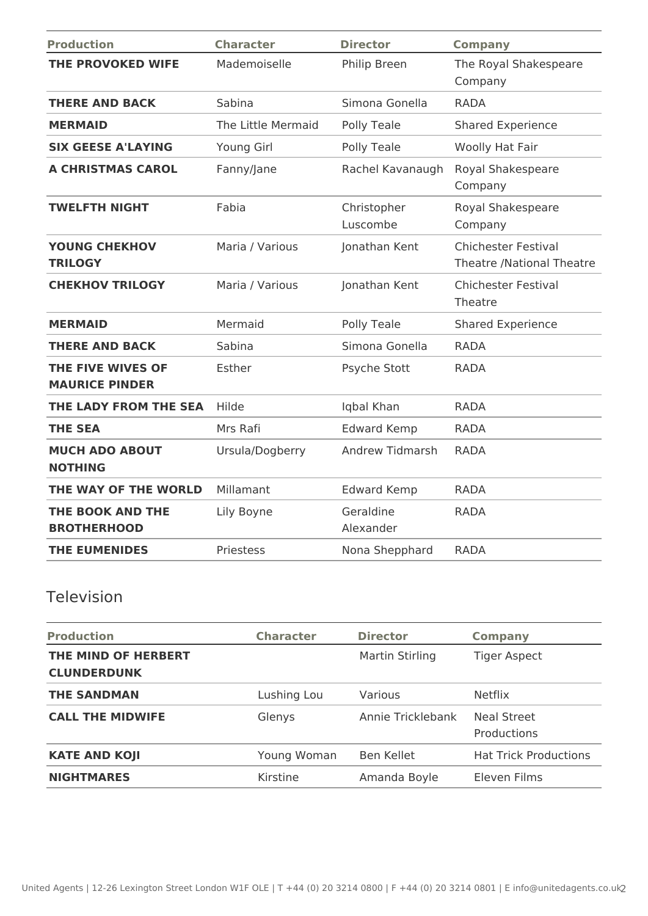| <b>Production</b>                          | <b>Character</b>   | <b>Director</b>         | <b>Company</b>                                          |
|--------------------------------------------|--------------------|-------------------------|---------------------------------------------------------|
| THE PROVOKED WIFE                          | Mademoiselle       | Philip Breen            | The Royal Shakespeare<br>Company                        |
| <b>THERE AND BACK</b>                      | Sabina             | Simona Gonella          | <b>RADA</b>                                             |
| <b>MERMAID</b>                             | The Little Mermaid | Polly Teale             | <b>Shared Experience</b>                                |
| <b>SIX GEESE A'LAYING</b>                  | Young Girl         | Polly Teale             | Woolly Hat Fair                                         |
| A CHRISTMAS CAROL                          | Fanny/Jane         | Rachel Kavanaugh        | Royal Shakespeare<br>Company                            |
| <b>TWELFTH NIGHT</b>                       | Fabia              | Christopher<br>Luscombe | Royal Shakespeare<br>Company                            |
| <b>YOUNG CHEKHOV</b><br><b>TRILOGY</b>     | Maria / Various    | Jonathan Kent           | <b>Chichester Festival</b><br>Theatre /National Theatre |
| <b>CHEKHOV TRILOGY</b>                     | Maria / Various    | Jonathan Kent           | <b>Chichester Festival</b><br>Theatre                   |
| <b>MERMAID</b>                             | Mermaid            | Polly Teale             | <b>Shared Experience</b>                                |
| <b>THERE AND BACK</b>                      | Sabina             | Simona Gonella          | <b>RADA</b>                                             |
| THE FIVE WIVES OF<br><b>MAURICE PINDER</b> | Esther             | Psyche Stott            | <b>RADA</b>                                             |
| THE LADY FROM THE SEA                      | Hilde              | Iqbal Khan              | <b>RADA</b>                                             |
| <b>THE SEA</b>                             | Mrs Rafi           | <b>Edward Kemp</b>      | <b>RADA</b>                                             |
| <b>MUCH ADO ABOUT</b><br><b>NOTHING</b>    | Ursula/Dogberry    | <b>Andrew Tidmarsh</b>  | <b>RADA</b>                                             |
| THE WAY OF THE WORLD                       | Millamant          | <b>Edward Kemp</b>      | <b>RADA</b>                                             |
| THE BOOK AND THE<br><b>BROTHERHOOD</b>     | Lily Boyne         | Geraldine<br>Alexander  | <b>RADA</b>                                             |
| <b>THE EUMENIDES</b>                       | Priestess          | Nona Shepphard          | <b>RADA</b>                                             |

# Television

| <b>Production</b>                         | <b>Character</b> | <b>Director</b>   | <b>Company</b>               |
|-------------------------------------------|------------------|-------------------|------------------------------|
| THE MIND OF HERBERT<br><b>CLUNDERDUNK</b> |                  | Martin Stirling   | <b>Tiger Aspect</b>          |
| <b>THE SANDMAN</b>                        | Lushing Lou      | Various           | <b>Netflix</b>               |
| <b>CALL THE MIDWIFE</b>                   | Glenys           | Annie Tricklebank | Neal Street<br>Productions   |
| <b>KATE AND KOJI</b>                      | Young Woman      | Ben Kellet        | <b>Hat Trick Productions</b> |
| <b>NIGHTMARES</b>                         | Kirstine         | Amanda Boyle      | Eleven Films                 |